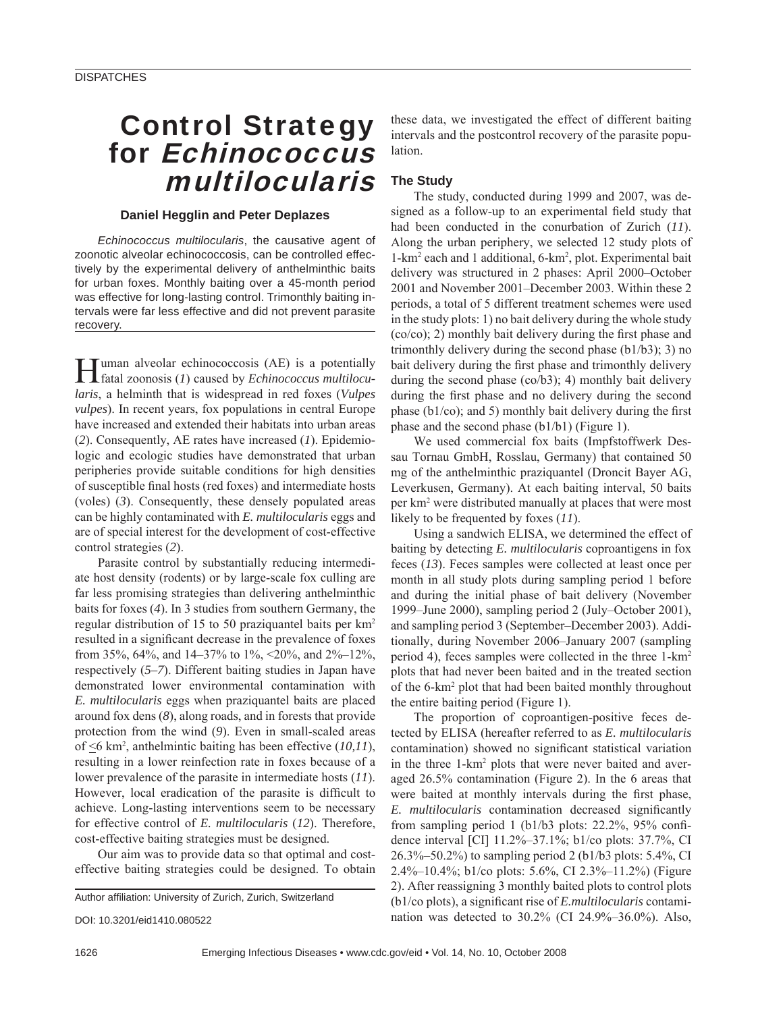# Control Strategy for Echinococcus multilocularis

## **Daniel Hegglin and Peter Deplazes**

*Echinococcus multilocularis*, the causative agent of zoonotic alveolar echinococcosis, can be controlled effectively by the experimental delivery of anthelminthic baits for urban foxes. Monthly baiting over a 45-month period was effective for long-lasting control. Trimonthly baiting intervals were far less effective and did not prevent parasite recovery.

Human alveolar echinococcosis (AE) is a potentially fatal zoonosis (*1*) caused by *Echinococcus multilocularis*, a helminth that is widespread in red foxes (*Vulpes vulpes*). In recent years, fox populations in central Europe have increased and extended their habitats into urban areas (*2*). Consequently, AE rates have increased (*1*). Epidemiologic and ecologic studies have demonstrated that urban peripheries provide suitable conditions for high densities of susceptible final hosts (red foxes) and intermediate hosts (voles) (*3*). Consequently, these densely populated areas can be highly contaminated with *E. multilocularis* eggs and are of special interest for the development of cost-effective control strategies (*2*).

Parasite control by substantially reducing intermediate host density (rodents) or by large-scale fox culling are far less promising strategies than delivering anthelminthic baits for foxes (*4*). In 3 studies from southern Germany, the regular distribution of 15 to 50 praziquantel baits per km2 resulted in a significant decrease in the prevalence of foxes from 35%, 64%, and 14–37% to 1%, <20%, and 2%–12%, respectively (*5–7*). Different baiting studies in Japan have demonstrated lower environmental contamination with *E. multilocularis* eggs when praziquantel baits are placed around fox dens (*8*), along roads, and in forests that provide protection from the wind (*9*). Even in small-scaled areas of  $\leq$ 6 km<sup>2</sup>, anthelmintic baiting has been effective (10,11), resulting in a lower reinfection rate in foxes because of a lower prevalence of the parasite in intermediate hosts (*11*). However, local eradication of the parasite is difficult to achieve. Long-lasting interventions seem to be necessary for effective control of *E. multilocularis* (*12*). Therefore, cost-effective baiting strategies must be designed.

Our aim was to provide data so that optimal and costeffective baiting strategies could be designed. To obtain

Author affiliation: University of Zurich, Zurich, Switzerland

DOI: 10.3201/eid1410.080522

these data, we investigated the effect of different baiting intervals and the postcontrol recovery of the parasite population.

# **The Study**

The study, conducted during 1999 and 2007, was designed as a follow-up to an experimental field study that had been conducted in the conurbation of Zurich (*11*). Along the urban periphery, we selected 12 study plots of 1-km2 each and 1 additional, 6-km2 , plot. Experimental bait delivery was structured in 2 phases: April 2000–October 2001 and November 2001–December 2003. Within these 2 periods, a total of 5 different treatment schemes were used in the study plots: 1) no bait delivery during the whole study  $(co/co)$ ; 2) monthly bait delivery during the first phase and trimonthly delivery during the second phase (b1/b3); 3) no bait delivery during the first phase and trimonthly delivery during the second phase (co/b3); 4) monthly bait delivery during the first phase and no delivery during the second phase ( $b1/co$ ); and 5) monthly bait delivery during the first phase and the second phase (b1/b1) (Figure 1).

We used commercial fox baits (Impfstoffwerk Dessau Tornau GmbH, Rosslau, Germany) that contained 50 mg of the anthelminthic praziquantel (Droncit Bayer AG, Leverkusen, Germany). At each baiting interval, 50 baits per km2 were distributed manually at places that were most likely to be frequented by foxes (*11*).

Using a sandwich ELISA, we determined the effect of baiting by detecting *E. multilocularis* coproantigens in fox feces (*13*). Feces samples were collected at least once per month in all study plots during sampling period 1 before and during the initial phase of bait delivery (November 1999–June 2000), sampling period 2 (July–October 2001), and sampling period 3 (September–December 2003). Additionally, during November 2006–January 2007 (sampling period 4), feces samples were collected in the three 1-km2 plots that had never been baited and in the treated section of the 6-km2 plot that had been baited monthly throughout the entire baiting period (Figure 1).

The proportion of coproantigen-positive feces detected by ELISA (hereafter referred to as *E. multilocularis* contamination) showed no significant statistical variation in the three 1-km<sup>2</sup> plots that were never baited and averaged 26.5% contamination (Figure 2). In the 6 areas that were baited at monthly intervals during the first phase, *E. multilocularis* contamination decreased significantly from sampling period 1 (b1/b3 plots:  $22.2\%$ ,  $95\%$  confidence interval [CI] 11.2%–37.1%; b1/co plots: 37.7%, CI 26.3%–50.2%) to sampling period 2 (b1/b3 plots: 5.4%, CI 2.4%–10.4%; b1/co plots: 5.6%, CI 2.3%–11.2%) (Figure 2). After reassigning 3 monthly baited plots to control plots (b1/co plots), a significant rise of *E.multilocularis* contamination was detected to 30.2% (CI 24.9%–36.0%). Also,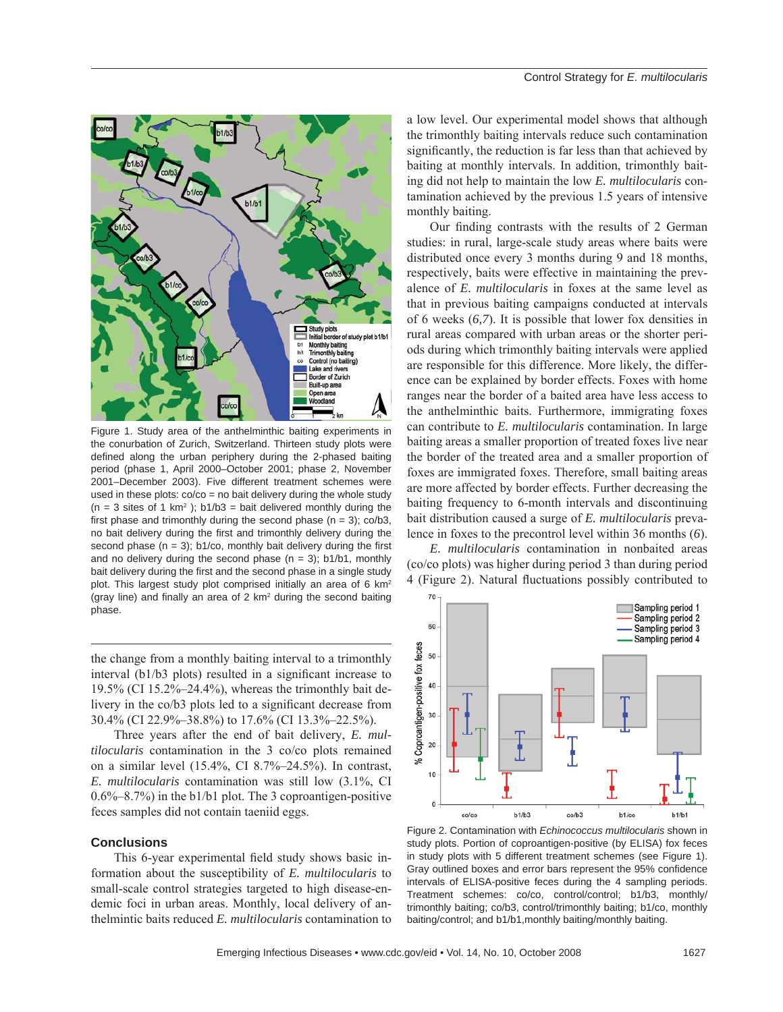

Figure 1. Study area of the anthelminthic baiting experiments in the conurbation of Zurich, Switzerland. Thirteen study plots were defined along the urban periphery during the 2-phased baiting period (phase 1, April 2000–October 2001; phase 2, November 2001–December 2003). Five different treatment schemes were used in these plots:  $\frac{\cos(10)}{10}$  co = no bait delivery during the whole study  $(n = 3$  sites of 1 km<sup>2</sup>); b1/b3 = bait delivered monthly during the first phase and trimonthly during the second phase  $(n = 3)$ ; co/b3, no bait delivery during the first and trimonthly delivery during the second phase  $(n = 3)$ ; b1/co, monthly bait delivery during the first and no delivery during the second phase  $(n = 3)$ ; b1/b1, monthly bait delivery during the first and the second phase in a single study plot. This largest study plot comprised initially an area of 6 km2 (gray line) and finally an area of  $2 \text{ km}^2$  during the second baiting phase.

the change from a monthly baiting interval to a trimonthly interval  $(b1/b3$  plots) resulted in a significant increase to 19.5% (CI 15.2%–24.4%), whereas the trimonthly bait delivery in the co/b3 plots led to a significant decrease from 30.4% (CI 22.9%–38.8%) to 17.6% (CI 13.3%–22.5%).

Three years after the end of bait delivery, *E. multilocularis* contamination in the 3 co/co plots remained on a similar level (15.4%, CI 8.7%–24.5%). In contrast, *E. multilocularis* contamination was still low (3.1%, CI 0.6%–8.7%) in the b1/b1 plot. The 3 coproantigen-positive feces samples did not contain taeniid eggs.

#### **Conclusions**

This 6-year experimental field study shows basic information about the susceptibility of *E. multilocularis* to small-scale control strategies targeted to high disease-endemic foci in urban areas. Monthly, local delivery of anthelmintic baits reduced *E. multilocularis* contamination to

a low level. Our experimental model shows that although the trimonthly baiting intervals reduce such contamination significantly, the reduction is far less than that achieved by baiting at monthly intervals. In addition, trimonthly baiting did not help to maintain the low *E. multilocularis* contamination achieved by the previous 1.5 years of intensive monthly baiting.

Our finding contrasts with the results of 2 German studies: in rural, large-scale study areas where baits were distributed once every 3 months during 9 and 18 months, respectively, baits were effective in maintaining the prevalence of *E. multilocularis* in foxes at the same level as that in previous baiting campaigns conducted at intervals of 6 weeks (*6,7*). It is possible that lower fox densities in rural areas compared with urban areas or the shorter periods during which trimonthly baiting intervals were applied are responsible for this difference. More likely, the difference can be explained by border effects. Foxes with home ranges near the border of a baited area have less access to the anthelminthic baits. Furthermore, immigrating foxes can contribute to *E. multilocularis* contamination. In large baiting areas a smaller proportion of treated foxes live near the border of the treated area and a smaller proportion of foxes are immigrated foxes. Therefore, small baiting areas are more affected by border effects. Further decreasing the baiting frequency to 6-month intervals and discontinuing bait distribution caused a surge of *E. multilocularis* prevalence in foxes to the precontrol level within 36 months (*6*).

*E. multilocularis* contamination in nonbaited areas (co/co plots) was higher during period 3 than during period 4 (Figure 2). Natural fluctuations possibly contributed to



Figure 2. Contamination with *Echinococcus multilocularis* shown in study plots. Portion of coproantigen-positive (by ELISA) fox feces in study plots with 5 different treatment schemes (see Figure 1). Gray outlined boxes and error bars represent the 95% confidence intervals of ELISA-positive feces during the 4 sampling periods. Treatment schemes: co/co, control/control; b1/b3, monthly/ trimonthly baiting; co/b3, control/trimonthly baiting; b1/co, monthly baiting/control; and b1/b1,monthly baiting/monthly baiting.